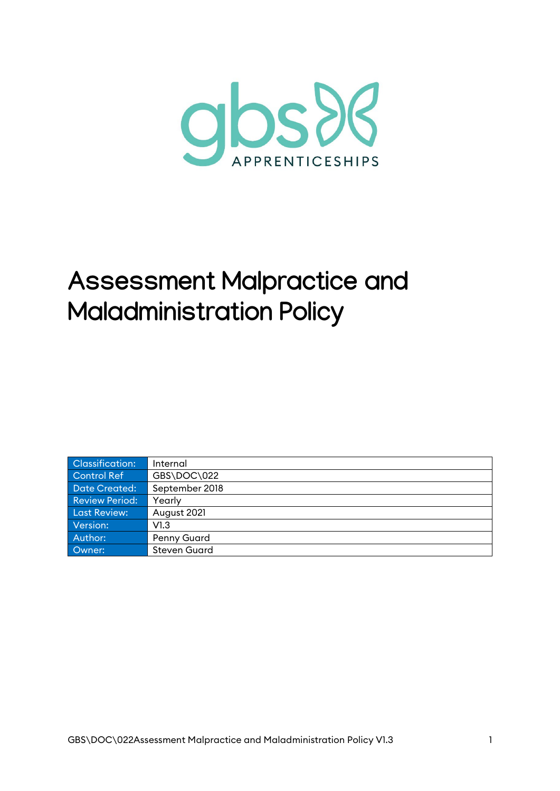

# **Assessment Malpractice and Maladministration Policy**

| <b>Classification:</b> | Internal            |
|------------------------|---------------------|
| Control Ref            | GBS\DOC\022         |
| <b>Date Created:</b>   | September 2018      |
| <b>Review Period:</b>  | Yearly              |
| Last Review:           | August 2021         |
| Version:               | V1.3                |
| Author:                | Penny Guard         |
| Owner:                 | <b>Steven Guard</b> |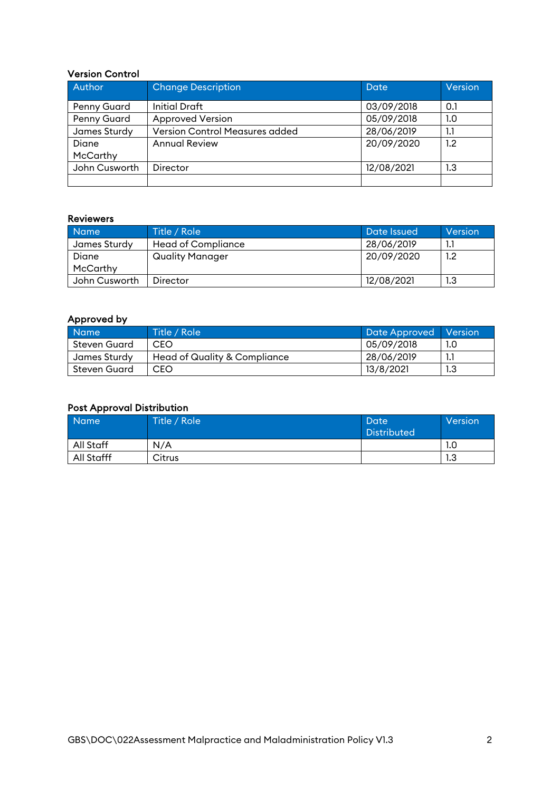#### Version Control

| Author             | <b>Change Description</b>             | Date       | Version |
|--------------------|---------------------------------------|------------|---------|
| <b>Penny Guard</b> | <b>Initial Draft</b>                  | 03/09/2018 | 0.1     |
| Penny Guard        | <b>Approved Version</b>               | 05/09/2018 | 1.0     |
| James Sturdy       | <b>Version Control Measures added</b> | 28/06/2019 | 1.1     |
| Diane              | <b>Annual Review</b>                  | 20/09/2020 | 1.2     |
| McCarthy           |                                       |            |         |
| John Cusworth      | Director                              | 12/08/2021 | 1.3     |
|                    |                                       |            |         |

#### Reviewers

| <b>Name</b>   | Title / Role              | Date Issued | Version          |
|---------------|---------------------------|-------------|------------------|
| James Sturdy  | <b>Head of Compliance</b> | 28/06/2019  |                  |
| Diane         | Quality Manager           | 20/09/2020  | 1.2 <sub>2</sub> |
| McCarthy      |                           |             |                  |
| John Cusworth | Director                  | 12/08/2021  | 1.3              |

#### Approved by

| <b>Name</b>  | Title / Role                 | Date Approved | <b>Nersion</b> |
|--------------|------------------------------|---------------|----------------|
| Steven Guard | <b>CEO</b>                   | 05/09/2018    | 1.0            |
| James Sturdy | Head of Quality & Compliance | 28/06/2019    | 1.1            |
| Steven Guard | CEO                          | 13/8/2021     | 1.3            |

#### Post Approval Distribution

| <b>Name</b> | Title / Role | Date<br><b>Distributed</b> | Version |
|-------------|--------------|----------------------------|---------|
| All Staff   | N/A          |                            | 1.0     |
| All Stafff  | Citrus       |                            | 1.3     |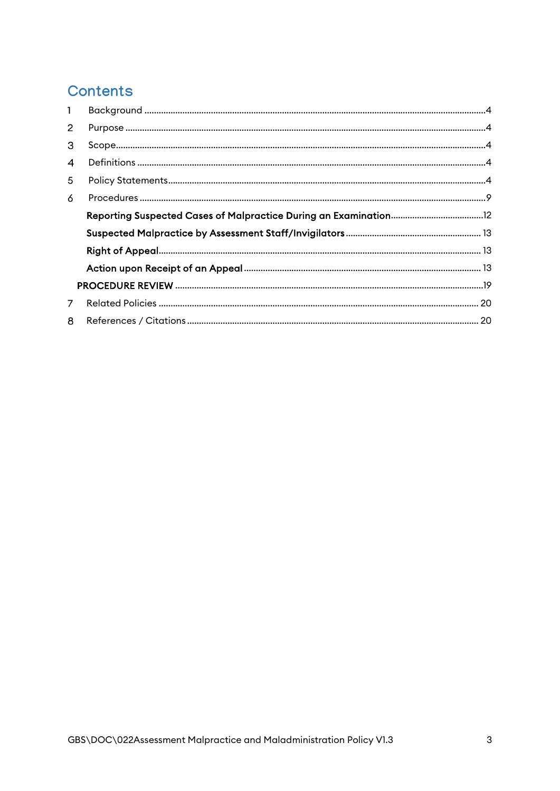# Contents

| $\mathbf{1}$ |  |
|--------------|--|
| 2            |  |
| 3            |  |
| 4            |  |
| 5            |  |
| 6            |  |
|              |  |
|              |  |
|              |  |
|              |  |
|              |  |
| 7            |  |
| 8            |  |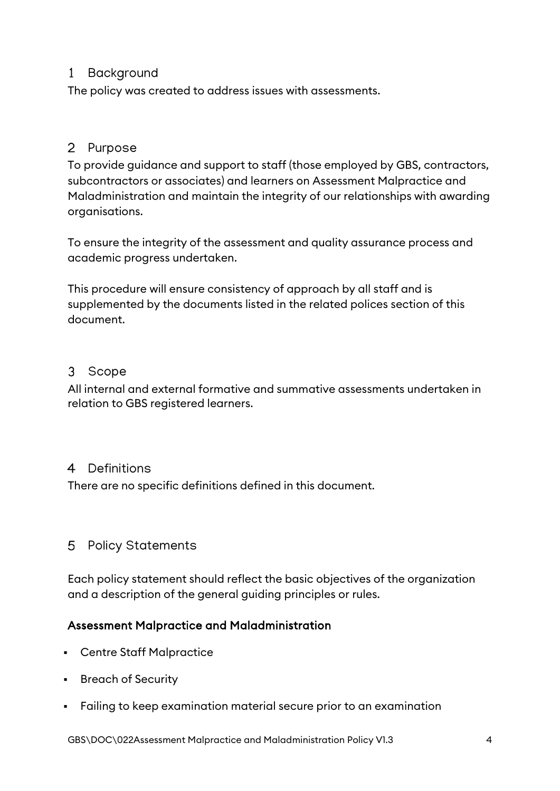# <span id="page-3-0"></span>1 Background

The policy was created to address issues with assessments.

# <span id="page-3-1"></span>2 Purpose

To provide guidance and support to staff (those employed by GBS, contractors, subcontractors or associates) and learners on Assessment Malpractice and Maladministration and maintain the integrity of our relationships with awarding organisations.

To ensure the integrity of the assessment and quality assurance process and academic progress undertaken.

This procedure will ensure consistency of approach by all staff and is supplemented by the documents listed in the related polices section of this document.

# <span id="page-3-2"></span>3 Scope

All internal and external formative and summative assessments undertaken in relation to GBS registered learners.

### <span id="page-3-3"></span>4 Definitions

There are no specific definitions defined in this document.

# <span id="page-3-4"></span>5 Policy Statements

Each policy statement should reflect the basic objectives of the organization and a description of the general guiding principles or rules.

### Assessment Malpractice and Maladministration

- Centre Staff Malpractice
- **Breach of Security**
- Failing to keep examination material secure prior to an examination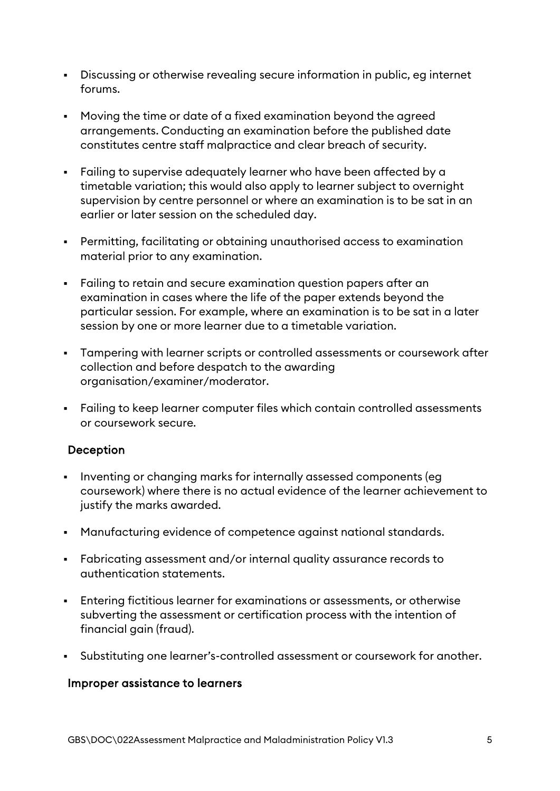- Discussing or otherwise revealing secure information in public, eg internet forums.
- Moving the time or date of a fixed examination beyond the agreed arrangements. Conducting an examination before the published date constitutes centre staff malpractice and clear breach of security.
- Failing to supervise adequately learner who have been affected by a timetable variation; this would also apply to learner subject to overnight supervision by centre personnel or where an examination is to be sat in an earlier or later session on the scheduled day.
- Permitting, facilitating or obtaining unauthorised access to examination material prior to any examination.
- Failing to retain and secure examination question papers after an examination in cases where the life of the paper extends beyond the particular session. For example, where an examination is to be sat in a later session by one or more learner due to a timetable variation.
- Tampering with learner scripts or controlled assessments or coursework after collection and before despatch to the awarding organisation/examiner/moderator.
- Failing to keep learner computer files which contain controlled assessments or coursework secure.

#### Deception

- Inventing or changing marks for internally assessed components (eg coursework) where there is no actual evidence of the learner achievement to justify the marks awarded.
- Manufacturing evidence of competence against national standards.
- Fabricating assessment and/or internal quality assurance records to authentication statements.
- Entering fictitious learner for examinations or assessments, or otherwise subverting the assessment or certification process with the intention of financial gain (fraud).
- Substituting one learner's-controlled assessment or coursework for another.

#### Improper assistance to learners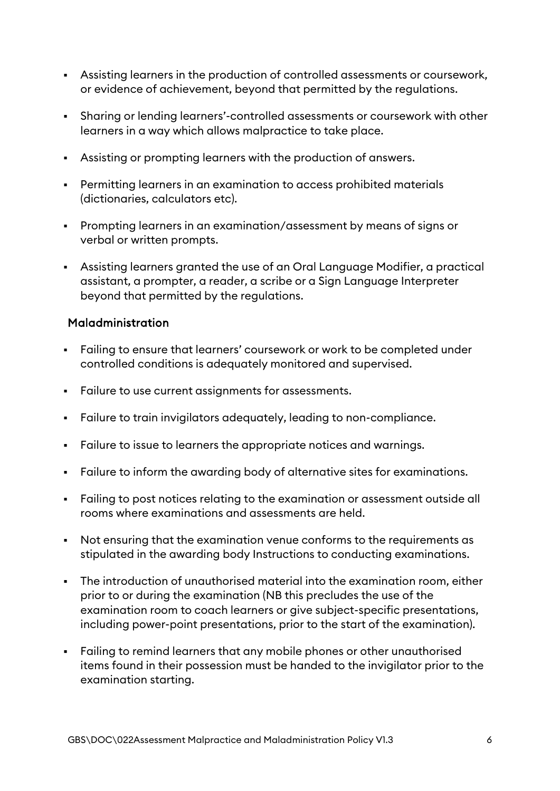- Assisting learners in the production of controlled assessments or coursework, or evidence of achievement, beyond that permitted by the regulations.
- Sharing or lending learners'-controlled assessments or coursework with other learners in a way which allows malpractice to take place.
- Assisting or prompting learners with the production of answers.
- Permitting learners in an examination to access prohibited materials (dictionaries, calculators etc).
- Prompting learners in an examination/assessment by means of signs or verbal or written prompts.
- Assisting learners granted the use of an Oral Language Modifier, a practical assistant, a prompter, a reader, a scribe or a Sign Language Interpreter beyond that permitted by the regulations.

#### Maladministration

- Failing to ensure that learners' coursework or work to be completed under controlled conditions is adequately monitored and supervised.
- Failure to use current assignments for assessments.
- Failure to train invigilators adequately, leading to non-compliance.
- Failure to issue to learners the appropriate notices and warnings.
- Failure to inform the awarding body of alternative sites for examinations.
- Failing to post notices relating to the examination or assessment outside all rooms where examinations and assessments are held.
- Not ensuring that the examination venue conforms to the requirements as stipulated in the awarding body Instructions to conducting examinations.
- The introduction of unauthorised material into the examination room, either prior to or during the examination (NB this precludes the use of the examination room to coach learners or give subject-specific presentations, including power-point presentations, prior to the start of the examination).
- Failing to remind learners that any mobile phones or other unauthorised items found in their possession must be handed to the invigilator prior to the examination starting.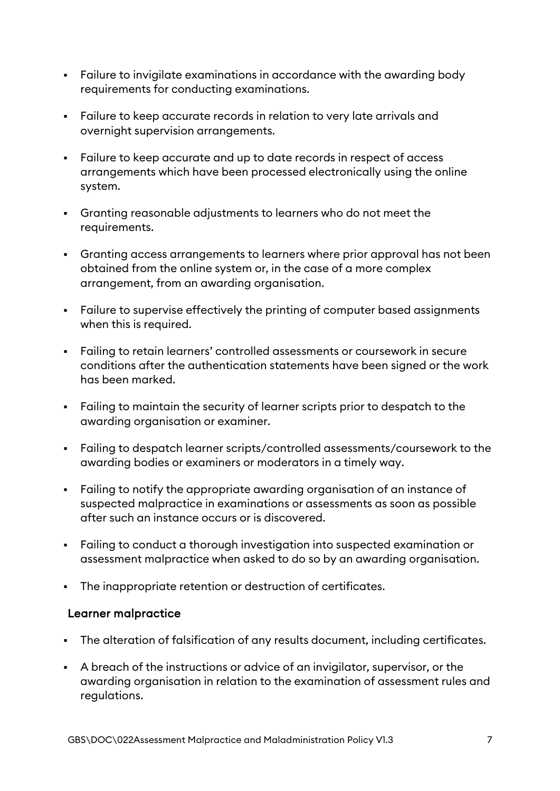- Failure to invigilate examinations in accordance with the awarding body requirements for conducting examinations.
- Failure to keep accurate records in relation to very late arrivals and overnight supervision arrangements.
- Failure to keep accurate and up to date records in respect of access arrangements which have been processed electronically using the online system.
- Granting reasonable adjustments to learners who do not meet the requirements.
- Granting access arrangements to learners where prior approval has not been obtained from the online system or, in the case of a more complex arrangement, from an awarding organisation.
- Failure to supervise effectively the printing of computer based assignments when this is required.
- Failing to retain learners' controlled assessments or coursework in secure conditions after the authentication statements have been signed or the work has been marked.
- Failing to maintain the security of learner scripts prior to despatch to the awarding organisation or examiner.
- Failing to despatch learner scripts/controlled assessments/coursework to the awarding bodies or examiners or moderators in a timely way.
- Failing to notify the appropriate awarding organisation of an instance of suspected malpractice in examinations or assessments as soon as possible after such an instance occurs or is discovered.
- Failing to conduct a thorough investigation into suspected examination or assessment malpractice when asked to do so by an awarding organisation.
- The inappropriate retention or destruction of certificates.

#### Learner malpractice

- The alteration of falsification of any results document, including certificates.
- A breach of the instructions or advice of an invigilator, supervisor, or the awarding organisation in relation to the examination of assessment rules and regulations.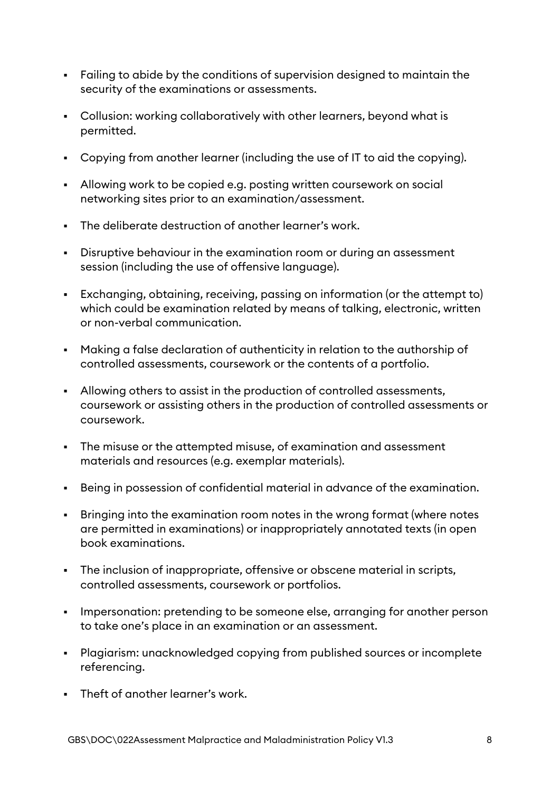- Failing to abide by the conditions of supervision designed to maintain the security of the examinations or assessments.
- Collusion: working collaboratively with other learners, beyond what is permitted.
- Copying from another learner (including the use of IT to aid the copying).
- Allowing work to be copied e.g. posting written coursework on social networking sites prior to an examination/assessment.
- The deliberate destruction of another learner's work.
- Disruptive behaviour in the examination room or during an assessment session (including the use of offensive language).
- Exchanging, obtaining, receiving, passing on information (or the attempt to) which could be examination related by means of talking, electronic, written or non-verbal communication.
- Making a false declaration of authenticity in relation to the authorship of controlled assessments, coursework or the contents of a portfolio.
- Allowing others to assist in the production of controlled assessments, coursework or assisting others in the production of controlled assessments or coursework.
- The misuse or the attempted misuse, of examination and assessment materials and resources (e.g. exemplar materials).
- Being in possession of confidential material in advance of the examination.
- Bringing into the examination room notes in the wrong format (where notes are permitted in examinations) or inappropriately annotated texts (in open book examinations.
- The inclusion of inappropriate, offensive or obscene material in scripts, controlled assessments, coursework or portfolios.
- Impersonation: pretending to be someone else, arranging for another person to take one's place in an examination or an assessment.
- Plagiarism: unacknowledged copying from published sources or incomplete referencing.
- Theft of another learner's work.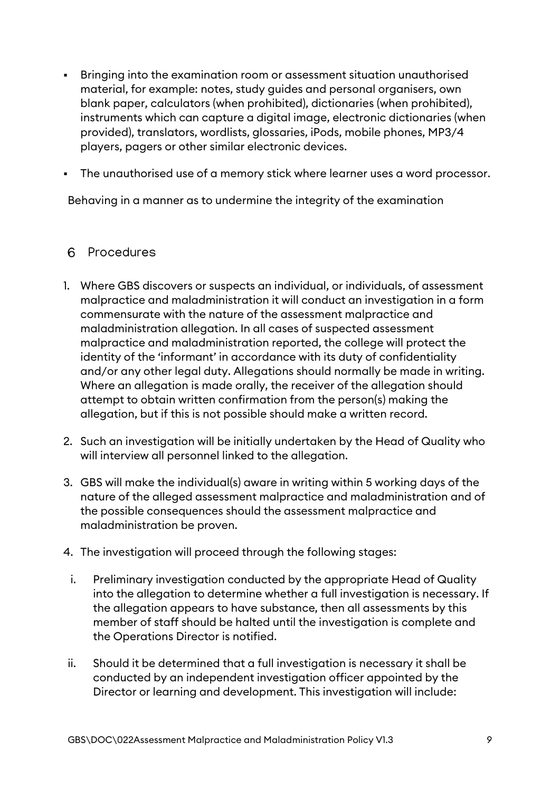- Bringing into the examination room or assessment situation unauthorised material, for example: notes, study guides and personal organisers, own blank paper, calculators (when prohibited), dictionaries (when prohibited), instruments which can capture a digital image, electronic dictionaries (when provided), translators, wordlists, glossaries, iPods, mobile phones, MP3/4 players, pagers or other similar electronic devices.
- The unauthorised use of a memory stick where learner uses a word processor.

Behaving in a manner as to undermine the integrity of the examination

#### <span id="page-8-0"></span>6 Procedures

- 1. Where GBS discovers or suspects an individual, or individuals, of assessment malpractice and maladministration it will conduct an investigation in a form commensurate with the nature of the assessment malpractice and maladministration allegation. In all cases of suspected assessment malpractice and maladministration reported, the college will protect the identity of the 'informant' in accordance with its duty of confidentiality and/or any other legal duty. Allegations should normally be made in writing. Where an allegation is made orally, the receiver of the allegation should attempt to obtain written confirmation from the person(s) making the allegation, but if this is not possible should make a written record.
- 2. Such an investigation will be initially undertaken by the Head of Quality who will interview all personnel linked to the allegation.
- 3. GBS will make the individual(s) aware in writing within 5 working days of the nature of the alleged assessment malpractice and maladministration and of the possible consequences should the assessment malpractice and maladministration be proven.
- 4. The investigation will proceed through the following stages:
	- i. Preliminary investigation conducted by the appropriate Head of Quality into the allegation to determine whether a full investigation is necessary. If the allegation appears to have substance, then all assessments by this member of staff should be halted until the investigation is complete and the Operations Director is notified.
- ii. Should it be determined that a full investigation is necessary it shall be conducted by an independent investigation officer appointed by the Director or learning and development. This investigation will include: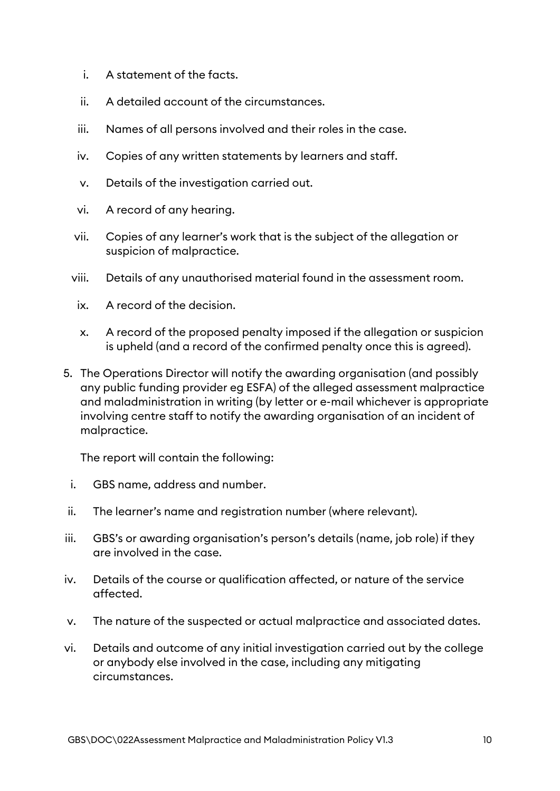- i. A statement of the facts.
- ii. A detailed account of the circumstances.
- iii. Names of all persons involved and their roles in the case.
- iv. Copies of any written statements by learners and staff.
- v. Details of the investigation carried out.
- vi. A record of any hearing.
- vii. Copies of any learner's work that is the subject of the allegation or suspicion of malpractice.
- viii. Details of any unauthorised material found in the assessment room.
	- ix. A record of the decision.
	- x. A record of the proposed penalty imposed if the allegation or suspicion is upheld (and a record of the confirmed penalty once this is agreed).
- 5. The Operations Director will notify the awarding organisation (and possibly any public funding provider eg ESFA) of the alleged assessment malpractice and maladministration in writing (by letter or e-mail whichever is appropriate involving centre staff to notify the awarding organisation of an incident of malpractice.

The report will contain the following:

- i. GBS name, address and number.
- ii. The learner's name and registration number (where relevant).
- iii. GBS's or awarding organisation's person's details (name, job role) if they are involved in the case.
- iv. Details of the course or qualification affected, or nature of the service affected.
- v. The nature of the suspected or actual malpractice and associated dates.
- vi. Details and outcome of any initial investigation carried out by the college or anybody else involved in the case, including any mitigating circumstances.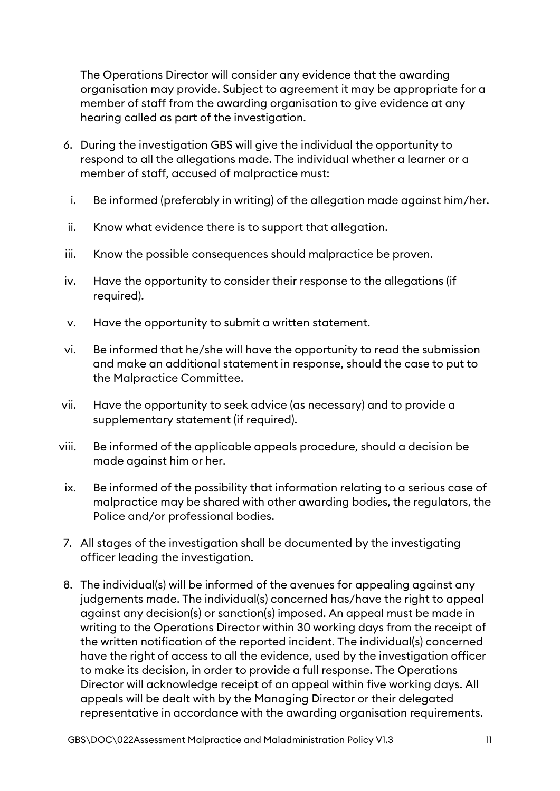The Operations Director will consider any evidence that the awarding organisation may provide. Subject to agreement it may be appropriate for a member of staff from the awarding organisation to give evidence at any hearing called as part of the investigation.

- 6. During the investigation GBS will give the individual the opportunity to respond to all the allegations made. The individual whether a learner or a member of staff, accused of malpractice must:
	- i. Be informed (preferably in writing) of the allegation made against him/her.
- ii. Know what evidence there is to support that allegation.
- iii. Know the possible consequences should malpractice be proven.
- iv. Have the opportunity to consider their response to the allegations (if required).
- v. Have the opportunity to submit a written statement.
- vi. Be informed that he/she will have the opportunity to read the submission and make an additional statement in response, should the case to put to the Malpractice Committee.
- vii. Have the opportunity to seek advice (as necessary) and to provide a supplementary statement (if required).
- viii. Be informed of the applicable appeals procedure, should a decision be made against him or her.
- ix. Be informed of the possibility that information relating to a serious case of malpractice may be shared with other awarding bodies, the regulators, the Police and/or professional bodies.
- 7. All stages of the investigation shall be documented by the investigating officer leading the investigation.
- 8. The individual(s) will be informed of the avenues for appealing against any judgements made. The individual(s) concerned has/have the right to appeal against any decision(s) or sanction(s) imposed. An appeal must be made in writing to the Operations Director within 30 working days from the receipt of the written notification of the reported incident. The individual(s) concerned have the right of access to all the evidence, used by the investigation officer to make its decision, in order to provide a full response. The Operations Director will acknowledge receipt of an appeal within five working days. All appeals will be dealt with by the Managing Director or their delegated representative in accordance with the awarding organisation requirements.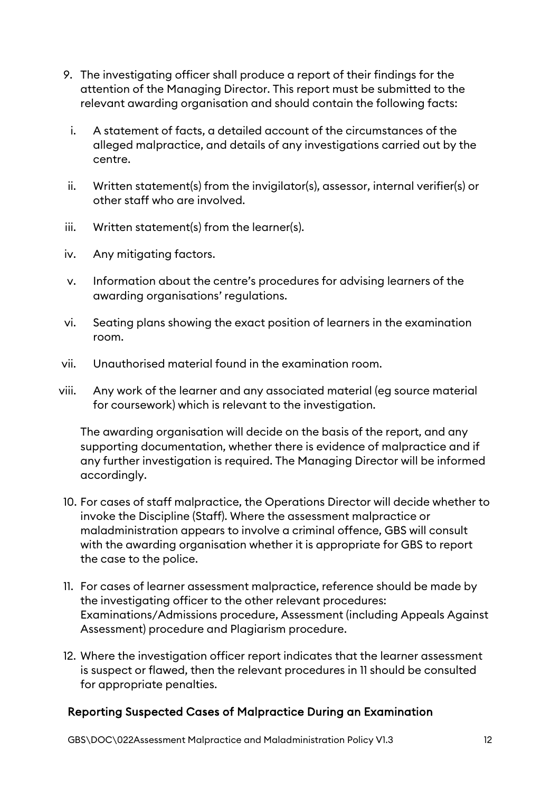- 9. The investigating officer shall produce a report of their findings for the attention of the Managing Director. This report must be submitted to the relevant awarding organisation and should contain the following facts:
	- i. A statement of facts, a detailed account of the circumstances of the alleged malpractice, and details of any investigations carried out by the centre.
- ii. Written statement(s) from the invigilator(s), assessor, internal verifier(s) or other staff who are involved.
- iii. Written statement(s) from the learner(s).
- iv. Any mitigating factors.
- v. Information about the centre's procedures for advising learners of the awarding organisations' regulations.
- vi. Seating plans showing the exact position of learners in the examination room.
- vii. Unauthorised material found in the examination room.
- viii. Any work of the learner and any associated material (eg source material for coursework) which is relevant to the investigation.

The awarding organisation will decide on the basis of the report, and any supporting documentation, whether there is evidence of malpractice and if any further investigation is required. The Managing Director will be informed accordingly.

- 10. For cases of staff malpractice, the Operations Director will decide whether to invoke the Discipline (Staff). Where the assessment malpractice or maladministration appears to involve a criminal offence, GBS will consult with the awarding organisation whether it is appropriate for GBS to report the case to the police.
- 11. For cases of learner assessment malpractice, reference should be made by the investigating officer to the other relevant procedures: Examinations/Admissions procedure, Assessment (including Appeals Against Assessment) procedure and Plagiarism procedure.
- 12. Where the investigation officer report indicates that the learner assessment is suspect or flawed, then the relevant procedures in 11 should be consulted for appropriate penalties.

# <span id="page-11-0"></span>Reporting Suspected Cases of Malpractice During an Examination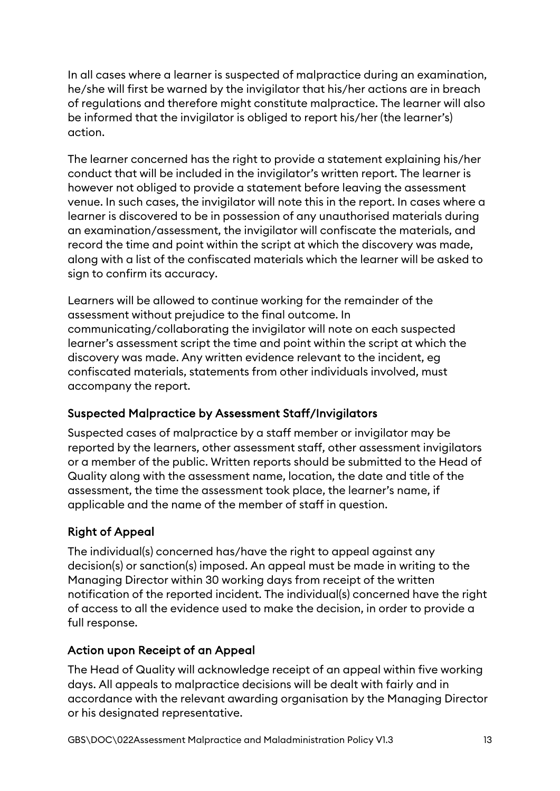In all cases where a learner is suspected of malpractice during an examination, he/she will first be warned by the invigilator that his/her actions are in breach of regulations and therefore might constitute malpractice. The learner will also be informed that the invigilator is obliged to report his/her (the learner's) action.

The learner concerned has the right to provide a statement explaining his/her conduct that will be included in the invigilator's written report. The learner is however not obliged to provide a statement before leaving the assessment venue. In such cases, the invigilator will note this in the report. In cases where a learner is discovered to be in possession of any unauthorised materials during an examination/assessment, the invigilator will confiscate the materials, and record the time and point within the script at which the discovery was made, along with a list of the confiscated materials which the learner will be asked to sign to confirm its accuracy.

Learners will be allowed to continue working for the remainder of the assessment without prejudice to the final outcome. In communicating/collaborating the invigilator will note on each suspected learner's assessment script the time and point within the script at which the discovery was made. Any written evidence relevant to the incident, eg confiscated materials, statements from other individuals involved, must accompany the report.

# <span id="page-12-0"></span>Suspected Malpractice by Assessment Staff/Invigilators

Suspected cases of malpractice by a staff member or invigilator may be reported by the learners, other assessment staff, other assessment invigilators or a member of the public. Written reports should be submitted to the Head of Quality along with the assessment name, location, the date and title of the assessment, the time the assessment took place, the learner's name, if applicable and the name of the member of staff in question.

# <span id="page-12-1"></span>Right of Appeal

The individual(s) concerned has/have the right to appeal against any decision(s) or sanction(s) imposed. An appeal must be made in writing to the Managing Director within 30 working days from receipt of the written notification of the reported incident. The individual(s) concerned have the right of access to all the evidence used to make the decision, in order to provide a full response.

# <span id="page-12-2"></span>Action upon Receipt of an Appeal

The Head of Quality will acknowledge receipt of an appeal within five working days. All appeals to malpractice decisions will be dealt with fairly and in accordance with the relevant awarding organisation by the Managing Director or his designated representative.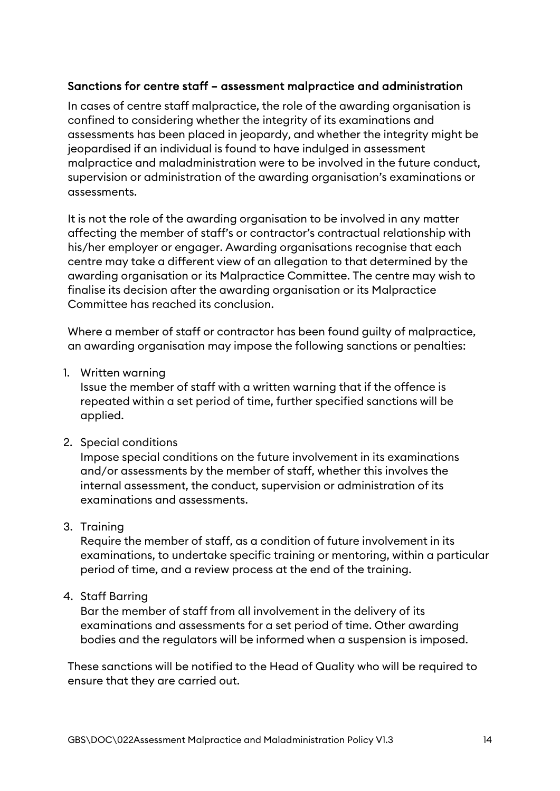#### Sanctions for centre staff – assessment malpractice and administration

In cases of centre staff malpractice, the role of the awarding organisation is confined to considering whether the integrity of its examinations and assessments has been placed in jeopardy, and whether the integrity might be jeopardised if an individual is found to have indulged in assessment malpractice and maladministration were to be involved in the future conduct, supervision or administration of the awarding organisation's examinations or assessments.

It is not the role of the awarding organisation to be involved in any matter affecting the member of staff's or contractor's contractual relationship with his/her employer or engager. Awarding organisations recognise that each centre may take a different view of an allegation to that determined by the awarding organisation or its Malpractice Committee. The centre may wish to finalise its decision after the awarding organisation or its Malpractice Committee has reached its conclusion.

Where a member of staff or contractor has been found guilty of malpractice, an awarding organisation may impose the following sanctions or penalties:

1. Written warning

Issue the member of staff with a written warning that if the offence is repeated within a set period of time, further specified sanctions will be applied.

2. Special conditions

Impose special conditions on the future involvement in its examinations and/or assessments by the member of staff, whether this involves the internal assessment, the conduct, supervision or administration of its examinations and assessments.

3. Training

Require the member of staff, as a condition of future involvement in its examinations, to undertake specific training or mentoring, within a particular period of time, and a review process at the end of the training.

4. Staff Barring

Bar the member of staff from all involvement in the delivery of its examinations and assessments for a set period of time. Other awarding bodies and the regulators will be informed when a suspension is imposed.

These sanctions will be notified to the Head of Quality who will be required to ensure that they are carried out.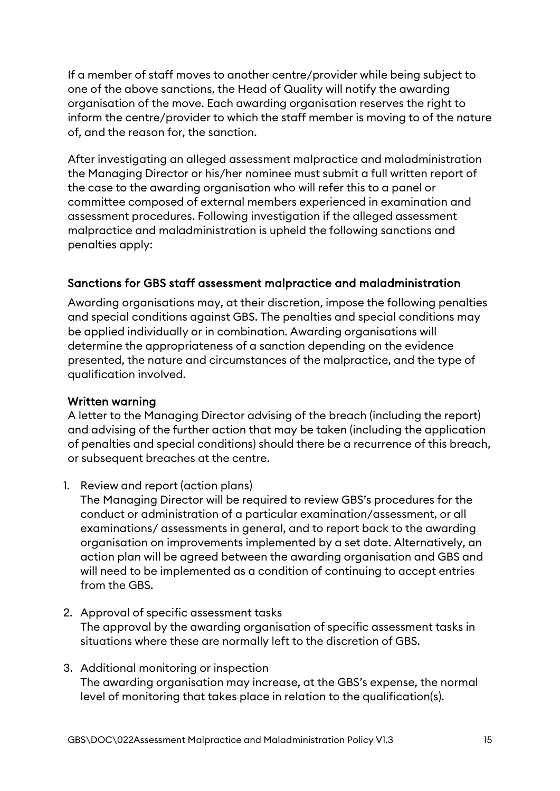If a member of staff moves to another centre/provider while being subject to one of the above sanctions, the Head of Quality will notify the awarding organisation of the move. Each awarding organisation reserves the right to inform the centre/provider to which the staff member is moving to of the nature of, and the reason for, the sanction.

After investigating an alleged assessment malpractice and maladministration the Managing Director or his/her nominee must submit a full written report of the case to the awarding organisation who will refer this to a panel or committee composed of external members experienced in examination and assessment procedures. Following investigation if the alleged assessment malpractice and maladministration is upheld the following sanctions and penalties apply:

# Sanctions for GBS staff assessment malpractice and maladministration

Awarding organisations may, at their discretion, impose the following penalties and special conditions against GBS. The penalties and special conditions may be applied individually or in combination. Awarding organisations will determine the appropriateness of a sanction depending on the evidence presented, the nature and circumstances of the malpractice, and the type of qualification involved.

### Written warning

A letter to the Managing Director advising of the breach (including the report) and advising of the further action that may be taken (including the application of penalties and special conditions) should there be a recurrence of this breach, or subsequent breaches at the centre.

1. Review and report (action plans)

The Managing Director will be required to review GBS's procedures for the conduct or administration of a particular examination/assessment, or all examinations/ assessments in general, and to report back to the awarding organisation on improvements implemented by a set date. Alternatively, an action plan will be agreed between the awarding organisation and GBS and will need to be implemented as a condition of continuing to accept entries from the GBS.

- 2. Approval of specific assessment tasks The approval by the awarding organisation of specific assessment tasks in situations where these are normally left to the discretion of GBS.
- 3. Additional monitoring or inspection The awarding organisation may increase, at the GBS's expense, the normal level of monitoring that takes place in relation to the qualification(s).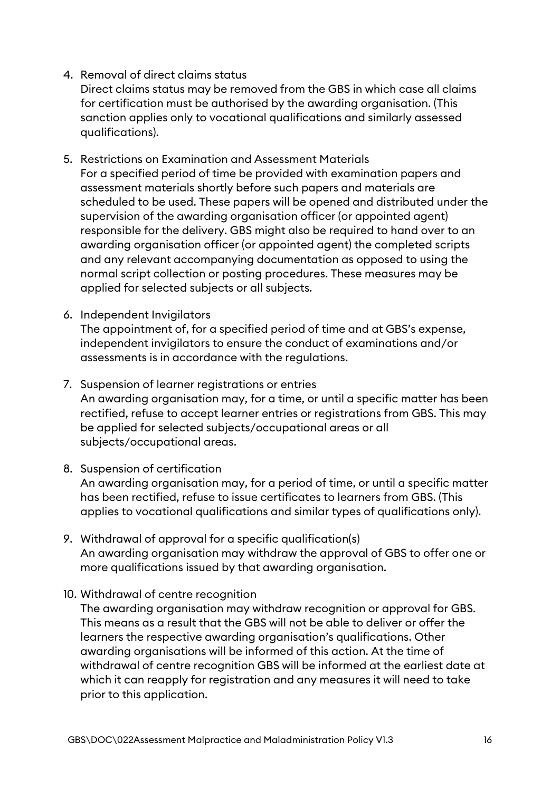#### 4. Removal of direct claims status

Direct claims status may be removed from the GBS in which case all claims for certification must be authorised by the awarding organisation. (This sanction applies only to vocational qualifications and similarly assessed qualifications).

- 5. Restrictions on Examination and Assessment Materials For a specified period of time be provided with examination papers and assessment materials shortly before such papers and materials are scheduled to be used. These papers will be opened and distributed under the supervision of the awarding organisation officer (or appointed agent) responsible for the delivery. GBS might also be required to hand over to an awarding organisation officer (or appointed agent) the completed scripts and any relevant accompanying documentation as opposed to using the normal script collection or posting procedures. These measures may be applied for selected subjects or all subjects.
- 6. Independent Invigilators

The appointment of, for a specified period of time and at GBS's expense, independent invigilators to ensure the conduct of examinations and/or assessments is in accordance with the regulations.

- 7. Suspension of learner registrations or entries An awarding organisation may, for a time, or until a specific matter has been rectified, refuse to accept learner entries or registrations from GBS. This may be applied for selected subjects/occupational areas or all subjects/occupational areas.
- 8. Suspension of certification

An awarding organisation may, for a period of time, or until a specific matter has been rectified, refuse to issue certificates to learners from GBS. (This applies to vocational qualifications and similar types of qualifications only).

- 9. Withdrawal of approval for a specific qualification(s) An awarding organisation may withdraw the approval of GBS to offer one or more qualifications issued by that awarding organisation.
- 10. Withdrawal of centre recognition

The awarding organisation may withdraw recognition or approval for GBS. This means as a result that the GBS will not be able to deliver or offer the learners the respective awarding organisation's qualifications. Other awarding organisations will be informed of this action. At the time of withdrawal of centre recognition GBS will be informed at the earliest date at which it can reapply for registration and any measures it will need to take prior to this application.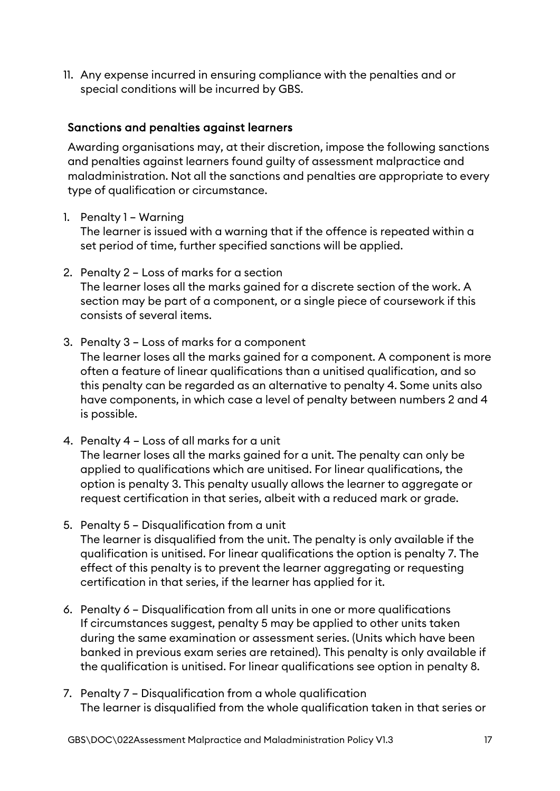11. Any expense incurred in ensuring compliance with the penalties and or special conditions will be incurred by GBS.

#### Sanctions and penalties against learners

Awarding organisations may, at their discretion, impose the following sanctions and penalties against learners found guilty of assessment malpractice and maladministration. Not all the sanctions and penalties are appropriate to every type of qualification or circumstance.

#### 1. Penalty 1 – Warning

The learner is issued with a warning that if the offence is repeated within a set period of time, further specified sanctions will be applied.

- 2. Penalty 2 Loss of marks for a section The learner loses all the marks gained for a discrete section of the work. A section may be part of a component, or a single piece of coursework if this consists of several items.
- 3. Penalty 3 Loss of marks for a component The learner loses all the marks gained for a component. A component is more often a feature of linear qualifications than a unitised qualification, and so this penalty can be regarded as an alternative to penalty 4. Some units also have components, in which case a level of penalty between numbers 2 and 4 is possible.
- 4. Penalty 4 Loss of all marks for a unit The learner loses all the marks gained for a unit. The penalty can only be applied to qualifications which are unitised. For linear qualifications, the option is penalty 3. This penalty usually allows the learner to aggregate or request certification in that series, albeit with a reduced mark or grade.
- 5. Penalty 5 Disqualification from a unit The learner is disqualified from the unit. The penalty is only available if the qualification is unitised. For linear qualifications the option is penalty 7. The effect of this penalty is to prevent the learner aggregating or requesting certification in that series, if the learner has applied for it.
- 6. Penalty 6 Disqualification from all units in one or more qualifications If circumstances suggest, penalty 5 may be applied to other units taken during the same examination or assessment series. (Units which have been banked in previous exam series are retained). This penalty is only available if the qualification is unitised. For linear qualifications see option in penalty 8.
- 7. Penalty 7 Disqualification from a whole qualification The learner is disqualified from the whole qualification taken in that series or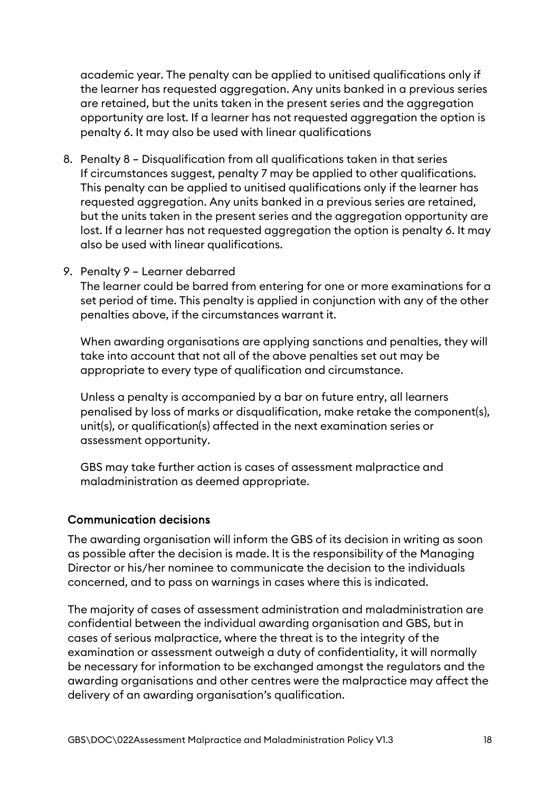academic year. The penalty can be applied to unitised qualifications only if the learner has requested aggregation. Any units banked in a previous series are retained, but the units taken in the present series and the aggregation opportunity are lost. If a learner has not requested aggregation the option is penalty 6. It may also be used with linear qualifications

- 8. Penalty 8 Disqualification from all qualifications taken in that series If circumstances suggest, penalty 7 may be applied to other qualifications. This penalty can be applied to unitised qualifications only if the learner has requested aggregation. Any units banked in a previous series are retained. but the units taken in the present series and the aggregation opportunity are lost. If a learner has not requested aggregation the option is penalty 6. It may also be used with linear qualifications.
- 9. Penalty 9 Learner debarred

The learner could be barred from entering for one or more examinations for a set period of time. This penalty is applied in conjunction with any of the other penalties above, if the circumstances warrant it.

When awarding organisations are applying sanctions and penalties, they will take into account that not all of the above penalties set out may be appropriate to every type of qualification and circumstance.

Unless a penalty is accompanied by a bar on future entry, all learners penalised by loss of marks or disqualification, make retake the component(s), unit(s), or qualification(s) affected in the next examination series or assessment opportunity.

GBS may take further action is cases of assessment malpractice and maladministration as deemed appropriate.

### Communication decisions

The awarding organisation will inform the GBS of its decision in writing as soon as possible after the decision is made. It is the responsibility of the Managing Director or his/her nominee to communicate the decision to the individuals concerned, and to pass on warnings in cases where this is indicated.

The majority of cases of assessment administration and maladministration are confidential between the individual awarding organisation and GBS, but in cases of serious malpractice, where the threat is to the integrity of the examination or assessment outweigh a duty of confidentiality, it will normally be necessary for information to be exchanged amongst the regulators and the awarding organisations and other centres were the malpractice may affect the delivery of an awarding organisation's qualification.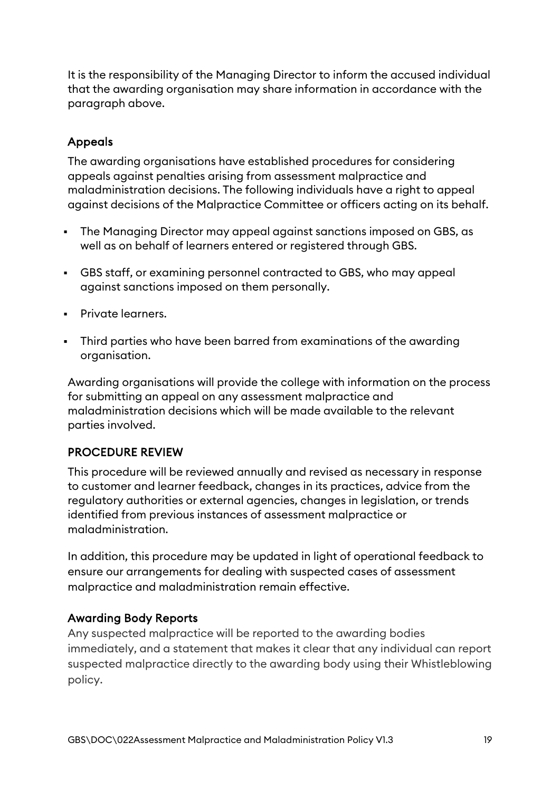It is the responsibility of the Managing Director to inform the accused individual that the awarding organisation may share information in accordance with the paragraph above.

# Appeals

The awarding organisations have established procedures for considering appeals against penalties arising from assessment malpractice and maladministration decisions. The following individuals have a right to appeal against decisions of the Malpractice Committee or officers acting on its behalf.

- The Managing Director may appeal against sanctions imposed on GBS, as well as on behalf of learners entered or registered through GBS.
- GBS staff, or examining personnel contracted to GBS, who may appeal against sanctions imposed on them personally.
- **Private learners.**
- Third parties who have been barred from examinations of the awarding organisation.

Awarding organisations will provide the college with information on the process for submitting an appeal on any assessment malpractice and maladministration decisions which will be made available to the relevant parties involved.

### <span id="page-18-0"></span>PROCEDURE REVIEW

This procedure will be reviewed annually and revised as necessary in response to customer and learner feedback, changes in its practices, advice from the regulatory authorities or external agencies, changes in legislation, or trends identified from previous instances of assessment malpractice or maladministration.

In addition, this procedure may be updated in light of operational feedback to ensure our arrangements for dealing with suspected cases of assessment malpractice and maladministration remain effective.

### Awarding Body Reports

Any suspected malpractice will be reported to the awarding bodies immediately, and a statement that makes it clear that any individual can report suspected malpractice directly to the awarding body using their Whistleblowing policy.